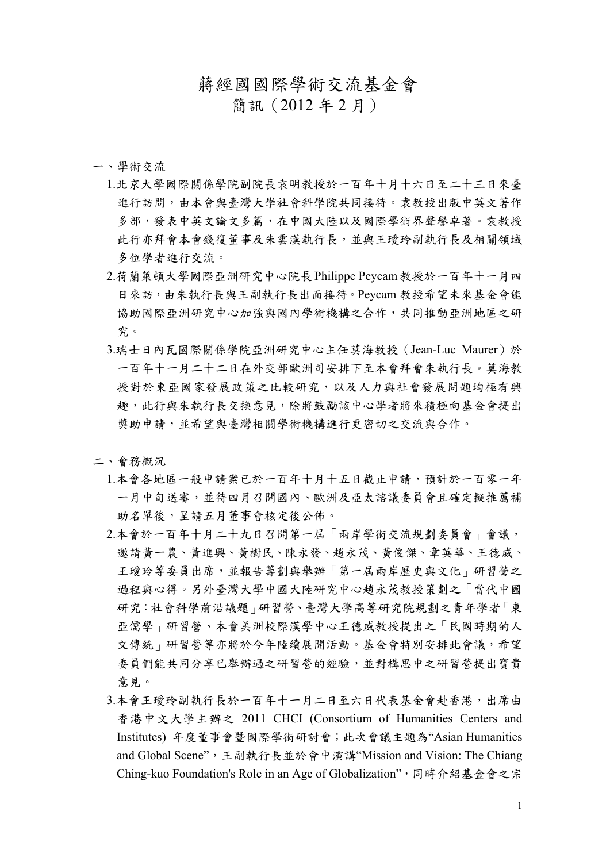## 蔣經國國際學術交流基金會

簡訊(2012 年 2 月)

## 一、學術交流

- 1.北京大學國際關係學院副院長袁明教授於一百年十月十六日至二十三日來臺 進行訪問,由本會與臺灣大學社會科學院共同接待。袁教授出版中英文著作 多部,發表中英文論文多篇,在中國大陸以及國際學術界聲譽卓著。袁教授 此行亦拜會本會錢復董事及朱雲漢執行長,並與王璦玲副執行長及相關領域 多位學者進行交流。
- 2.荷蘭萊頓大學國際亞洲研究中心院長Philippe Peycam教授於一百年十一月四 日來訪,由朱執行長與王副執行長出面接待。Peycam 教授希望未來基金會能 協助國際亞洲研究中心加強與國內學術機構之合作,共同推動亞洲地區之研 究。
- 3.瑞士日內瓦國際關係學院亞洲研究中心主任莫海教授(Jean-Luc Maurer)於 一百年十一月二十二日在外交部歐洲司安排下至本會拜會朱執行長。莫海教 授對於東亞國家發展政策之比較研究,以及人力與社會發展問題均極有興 趣,此行與朱執行長交換意見,除將鼓勵該中心學者將來積極向基金會提出 獎助申請,並希望與臺灣相關學術機構進行更密切之交流與合作。

## 二、會務概況

- 1.本會各地區一般申請案已於一百年十月十五日截止申請,預計於一百零一年 一月中旬送審,並待四月召開國內、歐洲及亞太諮議委員會且確定擬推薦補 助名單後,呈請五月董事會核定後公佈。
- 2.本會於一百年十月二十九日召開第一屆「兩岸學術交流規劃委員會」會議, 邀請黃一農、黃進興、黃樹民、陳永發、趙永茂、黃俊傑、章英華、王德威、 王璦玲等委員出席,並報告籌劃與舉辦「第一屆兩岸歷史與文化」研習營之 過程與心得。另外臺灣大學中國大陸研究中心趙永茂教授策劃之「當代中國 研究:社會科學前沿議題」研習營、臺灣大學高等研究院規劃之青年學者「東 亞儒學」研習營、本會美洲校際漢學中心王德威教授提出之「民國時期的人 文傳統」研習營等亦將於今年陸續展開活動。基金會特別安排此會議,希望 委員們能共同分享已舉辦過之研習營的經驗,並對構思中之研習營提出寶貴 意見。
- 3.本會王璦玲副執行長於一百年十一月二日至六日代表基金會赴香港,出席由 香港中文大學主辦之 2011 CHCI (Consortium of Humanities Centers and Institutes) 年度董事會暨國際學術研討會;此次會議主題為"Asian Humanities and Global Scene",王副執行長並於會中演講"Mission and Vision: The Chiang Ching-kuo Foundation's Role in an Age of Globalization",同時介紹基金會之宗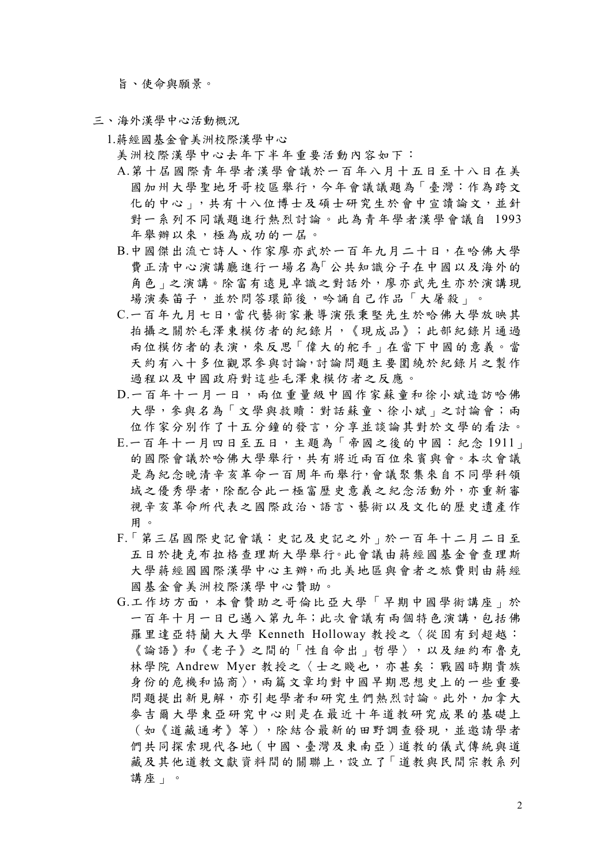旨、使命與願景。

- 三、海外漢學中心活動概況
	- 1.蔣經國基金會美洲校際漢學中心
		- 美洲校際漢學中心去年下半年重要活動內容如下:
		- A.第十屆國際青年學者漢學會議於一百年八月十五日至十八日在美 國加州大學聖地牙哥校區舉行,今年會議議題為「臺灣:作為跨文 化的中心」,共有十八位博士及碩士研究生於會中宣讀論文,並針 對一系列不同議題進行熱烈討論。此為青年學者漢學會議自 1993 年舉辦以來,極為成功的一屆。
		- B.中國傑出流亡詩人、作家廖亦武於一百年九月二十日,在哈佛大學 費正清中心演講廳進行一場名為「公共知識分子在中國以及海外的 角色」之演講。除富有遠見卓識之對話外,廖亦武先生亦於演講現 場演奏笛子,並於問答環節後,吟誦自己作品「大屠殺」。
		- C.一百年九月七日,當代藝術家兼導演張秉堅先生於哈佛大學放映其 拍攝之關於毛澤東模仿者的紀錄片,《現成品》;此部紀錄片通過 兩位模仿者的表演,來反思「偉大的舵手」在當下中國的意義。當 天約有八十多位觀眾參與討論,討論問題主要圍繞於紀錄片之製作 過程以及中國政府對這些毛澤東模仿者之反應。
		- D.一百年十一月一日,兩位重量級中國作家蘇童和徐小斌造訪哈佛 大學,參與名為「文學與救贖:對話蘇童、徐小斌」之討論會;兩 位作家分別作了十五分鐘的發言,分享並談論其對於文學的看法。
		- E.一百年十一月四日至五日,主題為「帝國之後的中國:紀念 1911」 的國際會議於哈佛大學舉行,共有將近兩百位來賓與會。本次會議 是為紀念晚清辛亥革命一百周年而舉行,會議聚集來自不同學科領 域之優秀學者,除配合此一極富歷史意義之紀念活動外,亦重新審 視辛亥革命所代表之國際政治、語言、藝術以及文化的歷史遺產作 用。
		- F.「第三屆國際史記會議:史記及史記之外」於一百年十二月二日至 五日於捷克布拉格查理斯大學舉行。此會議由蔣經國基金會查理斯 大學蔣經國國際漢學中心主辦,而北美地區與會者之旅費則由蔣經 國基金會美洲校際漢學中心贊助。
		- G.工作坊方面,本會贊助之哥倫比亞大學「早期中國學術講座」於 一百年十月一日已邁入第九年;此次會議有兩個特色演講,包括佛 羅里達亞特蘭大大學 Kenneth Holloway 教授之〈從固有到超越: 《論語》和《老子》之間的「性自命出」哲學〉,以及紐約布魯克 林學院 Andrew Myer 教授之〈士之賤也,亦甚矣:戰國時期貴族 身份的危機和協商〉,兩篇文章均對中國早期思想史上的一些重要 問題提出新見解,亦引起學者和研究生們熱烈討論。此外,加拿大 麥吉爾大學東亞研究中心則是在最近十年道教研究成果的基礎上 (如《道藏通考》等),除結合最新的田野調查發現,並邀請學者 們共同探索現代各地(中國、臺灣及東南亞)道教的儀式傳統與道 藏及其他道教文獻資料間的關聯上,設立了「道教與民間宗教系列 講座」。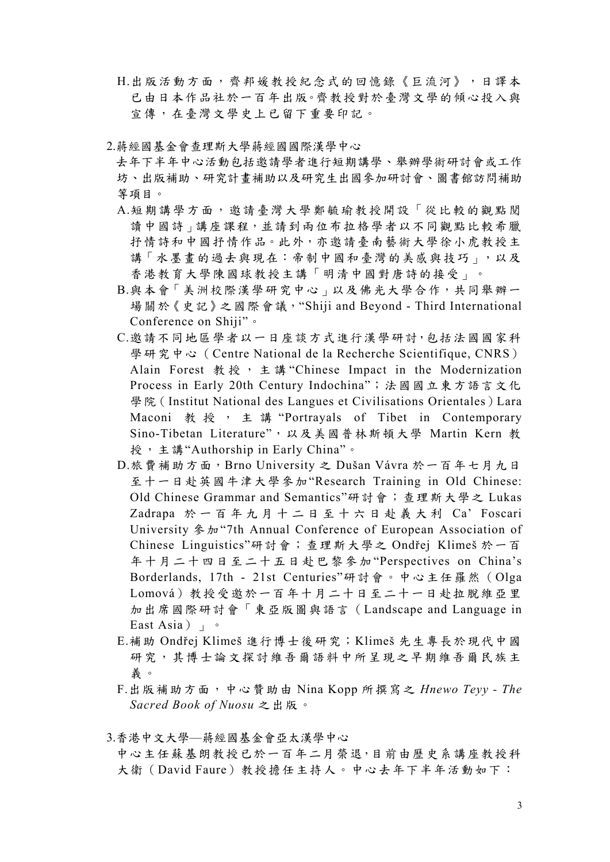- H.出版活動方面,齊邦媛教授紀念式的回憶錄《巨流河》,日譯本 已由日本作品社於一百年出版。齊教授對於臺灣文學的傾心投入與 宣傳,在臺灣文學史上已留下重要印記。
- 2.蔣經國基金會查理斯大學蔣經國國際漢學中心
	- 去年下半年中心活動包括邀請學者進行短期講學、舉辦學術研討會或工作 坊、出版補助、研究計畫補助以及研究生出國參加研討會、圖書館訪問補助 等項目。
	- A.短期講學方面,邀請臺灣大學鄭毓瑜教授開設「從比較的觀點閱 讀中國詩」講座課程,並請到兩位布拉格學者以不同觀點比較希臘 抒情詩和中國抒情作品。此外,亦邀請臺南藝術大學徐小虎教授主 講「水墨畫的過去與現在:帝制中國和臺灣的美感與技巧」,以及 香港教育大學陳國球教授主講「明清中國對唐詩的接受」。
	- B.與本會「美洲校際漢學研究中心」以及佛光大學合作,共同舉辦一 場關於《史記》之國際會議,"Shiji and Beyond - Third International Conference on Shiji"。
	- C.邀請不同地區學者以一日座談方式進行漢學研討,包括法國國家科 學研究中心 (Centre National de la Recherche Scientifique, CNRS) Alain Forest 教授, 主講 "Chinese Impact in the Modernization Process in Early 20th Century Indochina";法國國立東方語言文化 學院 (Institut National des Langues et Civilisations Orientales) Lara Maconi 教授, 主講 "Portrayals of Tibet in Contemporary Sino-Tibetan Literature",以及美國普林斯頓大學 Martin Kern 教 授,主講"Authorship in Early China"。
	- D.旅費補助方面,Brno University 之 Dušan Vávra 於一百年七月九日 至十一日赴英國牛津大學參加"Research Training in Old Chinese: Old Chinese Grammar and Semantics"研討會;查理斯大學之 Lukas Zadrapa 於一百年九月十二日至十六日赴義大利 Ca' Foscari University 參加"7th Annual Conference of European Association of Chinese Linguistics"研討會;查理斯大學之 Ondřej Klimeš 於一百 年十月二十四日至二十五日赴巴黎參加"Perspectives on China's Borderlands, 17th - 21st Centuries"研討會。中心主任羅然(Olga Lomová)教授受邀於一百年十月二十日至二十一日赴拉脫維亞里 加出席國際研討會「東亞版圖與語言(Landscape and Language in East Asia)」。
	- E.補助 Ondřej Klimeš 進行博士後研究;Klimeš 先生專長於現代中國 研究,其博士論文探討維吾爾語料中所呈現之早期維吾爾民族主 義。
	- F.出版補助方面,中心贊助由 Nina Kopp 所撰寫之 *Hnewo Teyy The Sacred Book of Nuosu* 之出版。
- 3.香港中文大學—蔣經國基金會亞太漢學中心
	- 中心主任蘇基朗教授已於一百年二月榮退,目前由歷史系講座教授科 大衛(David Faure)教授擔任主持人。中心去年下半年活動如下: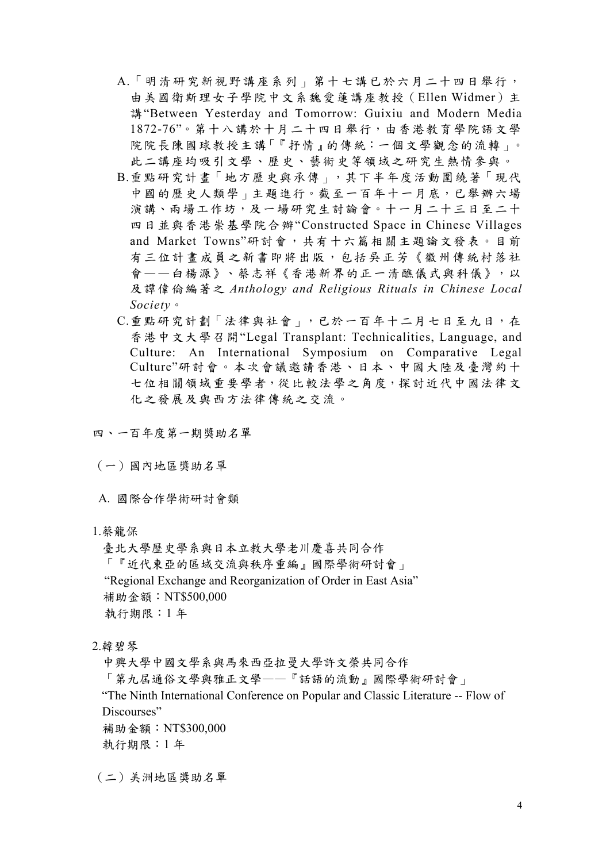- A.「明清研究新視野講座系列」第十七講已於六月二十四日舉行, 由美國衛斯理女子學院中文系魏愛蓮講座教授(Ellen Widmer)主 講"Between Yesterday and Tomorrow: Guixiu and Modern Media 1872-76"。第十八講於十月二十四日舉行,由香港教育學院語文學 院院長陳國球教授主講「『抒情』的傳統:一個文學觀念的流轉」。 此二講座均吸引文學、歷史、藝術史等領域之研究生熱情參與。
- B.重點研究計畫「地方歷史與承傳」,其下半年度活動圍繞著「現代 中國的歷史人類學」主題進行。截至一百年十一月底,已舉辦六場 演講、兩場工作坊,及一場研究生討論會。十一月二十三日至二十 四日並與香港崇基學院合辦"Constructed Space in Chinese Villages and Market Towns"研討會,共有十六篇相關主題論文發表。目前 有三位計畫成員之新書即將出版,包括吳正芳《徽州傳統村落社 會——白楊源》、蔡志祥《香港新界的正一清醮儀式與科儀》,以 及譚偉倫編著之 *Anthology and Religious Rituals in Chinese Local Society*。
- C.重點研究計劃「法律與社會」,已於一百年十二月七日至九日,在 香港中文大學召開"Legal Transplant: Technicalities, Language, and Culture: An International Symposium on Comparative Legal Culture"研討會。本次會議邀請香港、日本、中國大陸及臺灣約十 七位相關領域重要學者,從比較法學之角度,探討近代中國法律文 化之發展及與西方法律傳統之交流。
- 四、一百年度第一期獎助名單
- (一)國內地區獎助名單
- A. 國際合作學術研討會類
- 1.蔡龍保

臺北大學歷史學系與日本立教大學老川慶喜共同合作 「『近代東亞的區域交流與秩序重編』國際學術研討會」 "Regional Exchange and Reorganization of Order in East Asia" 補助金額:NT\$500,000 執行期限:1 年

2.韓碧琴

中興大學中國文學系與馬來西亞拉曼大學許文榮共同合作

「第九屆通俗文學與雅正文學——『話語的流動』國際學術研討會」

"The Ninth International Conference on Popular and Classic Literature -- Flow of Discourses"

補助金額:NT\$300,000

執行期限:1 年

(二)美洲地區獎助名單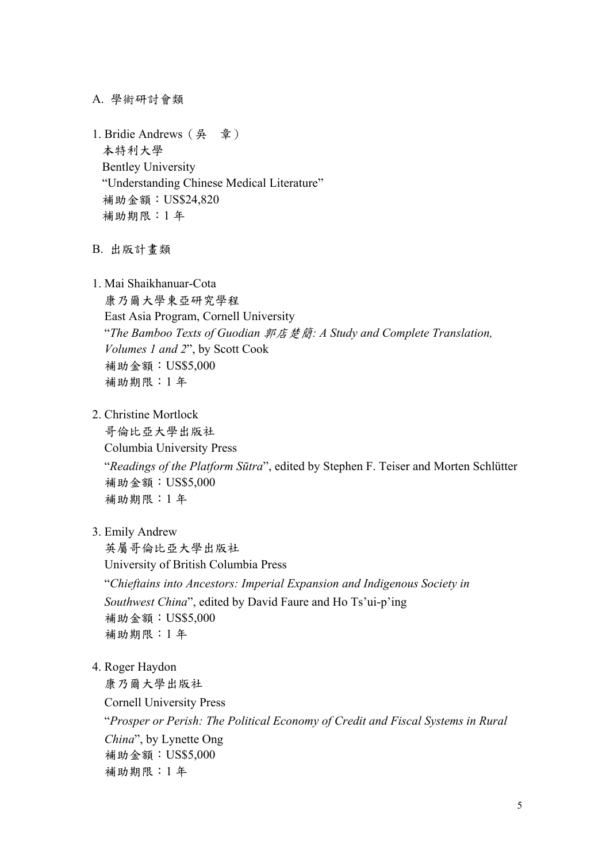A. 學術研討會類

1. Bridie Andrews(吳 章) 本特利大學 Bentley University "Understanding Chinese Medical Literature" 補助金額:US\$24,820 補助期限:1 年

B. 出版計畫類

1. Mai Shaikhanuar-Cota

康乃爾大學東亞研究學程 East Asia Program, Cornell University "*The Bamboo Texts of Guodian* 郭店楚簡*: A Study and Complete Translation, Volumes 1 and 2*", by Scott Cook 補助金額:US\$5,000 補助期限:1 年

2. Christine Mortlock

哥倫比亞大學出版社 Columbia University Press

"*Readings of the Platform Sūtra*", edited by Stephen F. Teiser and Morten Schlütter 補助金額:US\$5,000 補助期限:1 年

3. Emily Andrew

英屬哥倫比亞大學出版社 University of British Columbia Press "*Chieftains into Ancestors: Imperial Expansion and Indigenous Society in Southwest China*", edited by David Faure and Ho Ts'ui-p'ing 補助金額:US\$5,000 補助期限:1 年

4. Roger Haydon

康乃爾大學出版社 Cornell University Press "*Prosper or Perish: The Political Economy of Credit and Fiscal Systems in Rural China*", by Lynette Ong 補助金額:US\$5,000 補助期限:1 年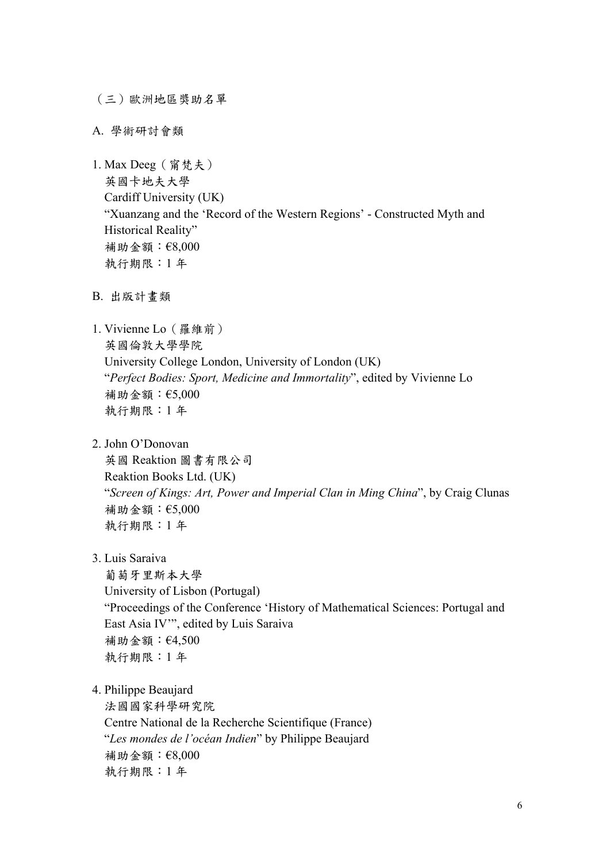(三)歐洲地區獎助名單

A. 學術研討會類

1. Max Deeg(甯梵夫) 英國卡地夫大學 Cardiff University (UK) "Xuanzang and the 'Record of the Western Regions' - Constructed Myth and Historical Reality" 補助金額:€8,000 執行期限:1 年

B. 出版計畫類

1. Vivienne Lo(羅維前) 英國倫敦大學學院 University College London, University of London (UK) "*Perfect Bodies: Sport, Medicine and Immortality*", edited by Vivienne Lo 補助金額:€5,000 執行期限:1 年

2. John O'Donovan

英國 Reaktion 圖書有限公司 Reaktion Books Ltd. (UK) "*Screen of Kings: Art, Power and Imperial Clan in Ming China*", by Craig Clunas 補助金額:€5,000 執行期限:1 年

3. Luis Saraiva

葡萄牙里斯本大學 University of Lisbon (Portugal) "Proceedings of the Conference 'History of Mathematical Sciences: Portugal and East Asia IV'", edited by Luis Saraiva 補助金額:€4,500 執行期限:1 年

4. Philippe Beaujard

法國國家科學研究院 Centre National de la Recherche Scientifique (France) "*Les mondes de l'océan Indien*" by Philippe Beaujard 補助金額:€8,000 執行期限:1 年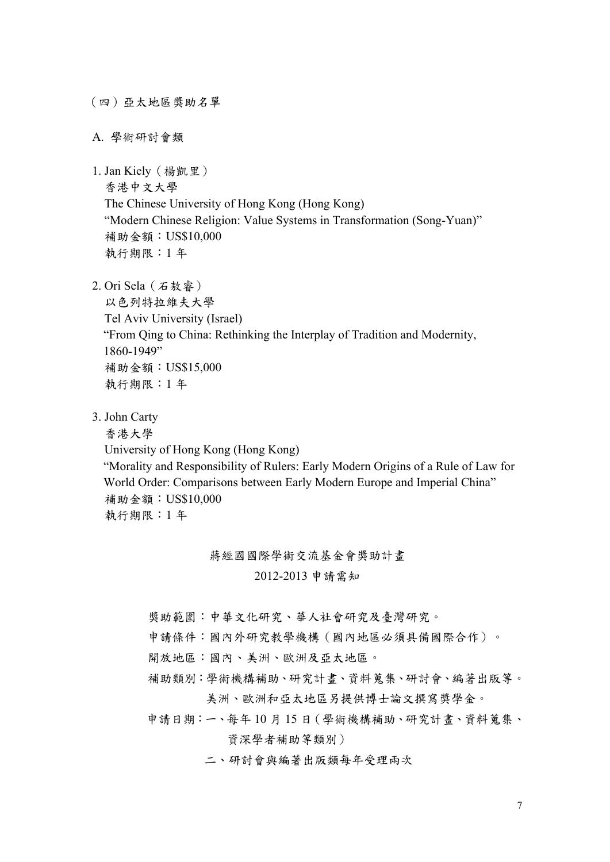(四)亞太地區獎助名單

A. 學術研討會類

1. Jan Kiely(楊凱里)

香港中文大學

The Chinese University of Hong Kong (Hong Kong) "Modern Chinese Religion: Value Systems in Transformation (Song-Yuan)"

補助金額:US\$10,000

執行期限:1 年

2. Ori Sela(石敖睿)

以色列特拉維夫大學 Tel Aviv University (Israel) "From Qing to China: Rethinking the Interplay of Tradition and Modernity, 1860-1949" 補助金額:US\$15,000 執行期限:1 年

3. John Carty

香港大學

University of Hong Kong (Hong Kong)

"Morality and Responsibility of Rulers: Early Modern Origins of a Rule of Law for World Order: Comparisons between Early Modern Europe and Imperial China" 補助金額:US\$10,000 執行期限:1 年

蔣經國國際學術交流基金會獎助計畫

2012-2013 申請需知

獎助範圍:中華文化研究、華人社會研究及臺灣研究。

申請條件:國內外研究教學機構(國內地區必須具備國際合作)。

- 開放地區:國內、美洲、歐洲及亞太地區。
- 補助類別:學術機構補助、研究計畫、資料蒐集、研討會、編著出版等。 美洲、歐洲和亞太地區另提供博士論文撰寫獎學金。
- 申請日期:一、每年 10 月 15 日(學術機構補助、研究計畫、資料蒐集、 資深學者補助等類別)

二、研討會與編著出版類每年受理兩次